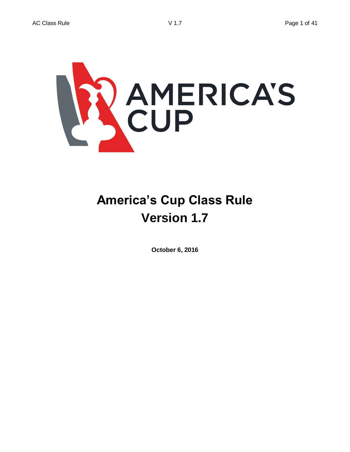

# **America's Cup Class Rule Version 1.7**

**October 6, 2016**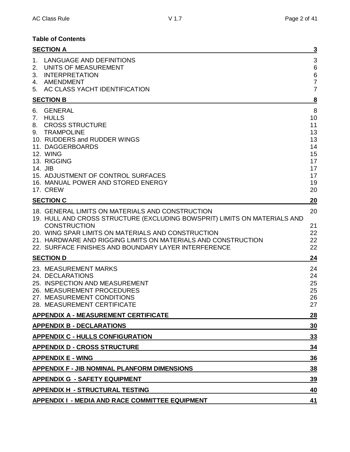# **Table of Contents**

|                         | <b>SECTION A</b>                                                                                                                                                                                                                                                                                                                    | $\overline{\mathbf{3}}$                                             |
|-------------------------|-------------------------------------------------------------------------------------------------------------------------------------------------------------------------------------------------------------------------------------------------------------------------------------------------------------------------------------|---------------------------------------------------------------------|
| $1_{\cdot}$<br>2.<br>3. | LANGUAGE AND DEFINITIONS<br>UNITS OF MEASUREMENT<br><b>INTERPRETATION</b><br>4. AMENDMENT<br>5. AC CLASS YACHT IDENTIFICATION                                                                                                                                                                                                       | 3<br>$6\phantom{1}6$<br>$\,6$<br>$\overline{7}$<br>$\overline{7}$   |
|                         | <b>SECTION B</b>                                                                                                                                                                                                                                                                                                                    | $\overline{\mathbf{8}}$                                             |
| 6.<br>7.<br>8.<br>9.    | <b>GENERAL</b><br><b>HULLS</b><br><b>CROSS STRUCTURE</b><br><b>TRAMPOLINE</b><br>10. RUDDERS and RUDDER WINGS<br>11. DAGGERBOARDS<br><b>12. WING</b><br>13. RIGGING<br>14. JIB<br>15. ADJUSTMENT OF CONTROL SURFACES<br>16. MANUAL POWER AND STORED ENERGY<br><b>17. CREW</b>                                                       | 8<br>10<br>11<br>13<br>13<br>14<br>15<br>17<br>17<br>17<br>19<br>20 |
|                         | <b>SECTION C</b>                                                                                                                                                                                                                                                                                                                    | 20                                                                  |
|                         | 18. GENERAL LIMITS ON MATERIALS AND CONSTRUCTION<br>19. HULL AND CROSS STRUCTURE (EXCLUDING BOWSPRIT) LIMITS ON MATERIALS AND<br><b>CONSTRUCTION</b><br>20. WING SPAR LIMITS ON MATERIALS AND CONSTRUCTION<br>21. HARDWARE AND RIGGING LIMITS ON MATERIALS AND CONSTRUCTION<br>22. SURFACE FINISHES AND BOUNDARY LAYER INTERFERENCE | 20<br>21<br>22<br>22<br>22                                          |
|                         | <b>SECTION D</b>                                                                                                                                                                                                                                                                                                                    | 24                                                                  |
|                         | 23. MEASUREMENT MARKS<br>24. DECLARATIONS<br>25. INSPECTION AND MEASUREMENT<br>26. MEASUREMENT PROCEDURES<br>27. MEASUREMENT CONDITIONS<br>28. MEASUREMENT CERTIFICATE                                                                                                                                                              | 24<br>24<br>25<br>25<br>26<br>27                                    |
|                         | <b>APPENDIX A - MEASUREMENT CERTIFICATE</b>                                                                                                                                                                                                                                                                                         | <u>28</u>                                                           |
|                         | <b>APPENDIX B - DECLARATIONS</b>                                                                                                                                                                                                                                                                                                    | 30                                                                  |
|                         | <b>APPENDIX C - HULLS CONFIGURATION</b>                                                                                                                                                                                                                                                                                             | 33                                                                  |
|                         | <b>APPENDIX D - CROSS STRUCTURE</b>                                                                                                                                                                                                                                                                                                 | 34                                                                  |
|                         | <b>APPENDIX E - WING</b>                                                                                                                                                                                                                                                                                                            | 36                                                                  |
|                         | <b>APPENDIX F - JIB NOMINAL PLANFORM DIMENSIONS</b>                                                                                                                                                                                                                                                                                 | 38                                                                  |
|                         | <b>APPENDIX G - SAFETY EQUIPMENT</b>                                                                                                                                                                                                                                                                                                | 39                                                                  |
|                         | <b>APPENDIX H - STRUCTURAL TESTING</b>                                                                                                                                                                                                                                                                                              | 40                                                                  |
|                         | APPENDIX I - MEDIA AND RACE COMMITTEE EQUIPMENT                                                                                                                                                                                                                                                                                     | 41                                                                  |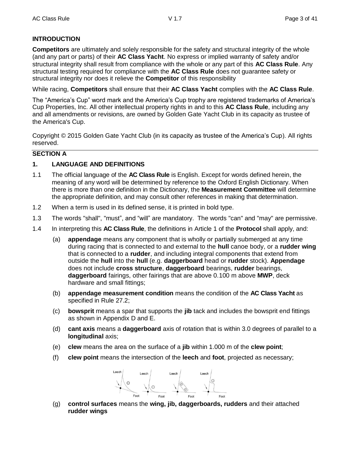## **INTRODUCTION**

**Competitors** are ultimately and solely responsible for the safety and structural integrity of the whole (and any part or parts) of their **AC Class Yacht**. No express or implied warranty of safety and/or structural integrity shall result from compliance with the whole or any part of this **AC Class Rule**. Any structural testing required for compliance with the **AC Class Rule** does not guarantee safety or structural integrity nor does it relieve the **Competitor** of this responsibility

While racing, **Competitors** shall ensure that their **AC Class Yacht** complies with the **AC Class Rule**.

The "America's Cup" word mark and the America's Cup trophy are registered trademarks of America's Cup Properties, Inc. All other intellectual property rights in and to this **AC Class Rule**, including any and all amendments or revisions, are owned by Golden Gate Yacht Club in its capacity as trustee of the America's Cup.

Copyright © 2015 Golden Gate Yacht Club (in its capacity as trustee of the America's Cup). All rights reserved.

#### **SECTION A**

## **1. LANGUAGE AND DEFINITIONS**

- 1.1 The official language of the **AC Class Rule** is English. Except for words defined herein, the meaning of any word will be determined by reference to the Oxford English Dictionary. When there is more than one definition in the Dictionary, the **Measurement Committee** will determine the appropriate definition, and may consult other references in making that determination.
- 1.2 When a term is used in its defined sense, it is printed in bold type.
- 1.3 The words "shall", "must", and "will" are mandatory. The words "can" and "may" are permissive.
- 1.4 In interpreting this **AC Class Rule**, the definitions in Article 1 of the **Protocol** shall apply, and:
	- (a) **appendage** means any component that is wholly or partially submerged at any time during racing that is connected to and external to the **hull** canoe body, or a **rudder wing** that is connected to a **rudder**, and including integral components that extend from outside the **hull** into the **hull** (e.g. **daggerboard** head or **rudder** stock). **Appendage** does not include **cross structure**, **daggerboard** bearings, **rudder** bearings, **daggerboard** fairings, other fairings that are above 0.100 m above **MWP**, deck hardware and small fittings;
	- (b) **appendage measurement condition** means the condition of the **AC Class Yacht** as specified in Rule 27.2;
	- (c) **bowsprit** means a spar that supports the **jib** tack and includes the bowsprit end fittings as shown in Appendix D and E.
	- (d) **cant axis** means a **daggerboard** axis of rotation that is within 3.0 degrees of parallel to a **longitudinal** axis;
	- (e) **clew** means the area on the surface of a **jib** within 1.000 m of the **clew point**;
	- (f) **clew point** means the intersection of the **leech** and **foot**, projected as necessary;



(g) **control surfaces** means the **wing, jib, daggerboards, rudders** and their attached **rudder wings**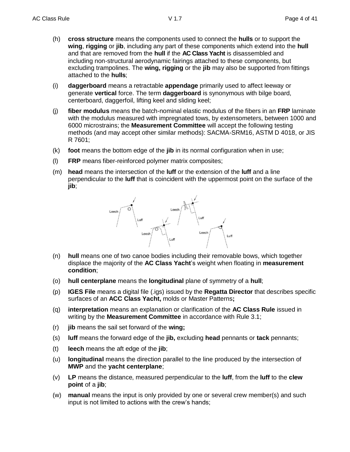- (h) **cross structure** means the components used to connect the **hulls** or to support the **wing**, **rigging** or **jib**, including any part of these components which extend into the **hull** and that are removed from the **hull** if the **AC Class Yacht** is disassembled and including non-structural aerodynamic fairings attached to these components, but excluding trampolines. The **wing, rigging** or the **jib** may also be supported from fittings attached to the **hulls**;
- (i) **daggerboard** means a retractable **appendage** primarily used to affect leeway or generate **vertical** force. The term **daggerboard** is synonymous with bilge board, centerboard, daggerfoil, lifting keel and sliding keel;
- (j) **fiber modulus** means the batch-nominal elastic modulus of the fibers in an **FRP** laminate with the modulus measured with impregnated tows, by extensometers, between 1000 and 6000 microstrains; the **Measurement Committee** will accept the following testing methods (and may accept other similar methods): SACMA-SRM16, ASTM D 4018, or JIS R 7601;
- (k) **foot** means the bottom edge of the **jib** in its normal configuration when in use;
- (l) **FRP** means fiber-reinforced polymer matrix composites;
- (m) **head** means the intersection of the **luff** or the extension of the **luff** and a line perpendicular to the **luff** that is coincident with the uppermost point on the surface of the **jib**;



- (n) **hull** means one of two canoe bodies including their removable bows, which together displace the majority of the **AC Class Yacht**'s weight when floating in **measurement condition**;
- (o) **hull centerplane** means the **longitudinal** plane of symmetry of a **hull**;
- (p) **IGES File** means a digital file (.igs) issued by the **Regatta Director** that describes specific surfaces of an **ACC Class Yacht,** molds or Master Patterns**;**
- (q) **interpretation** means an explanation or clarification of the **AC Class Rule** issued in writing by the **Measurement Committee** in accordance with Rule 3.1;
- (r) **jib** means the sail set forward of the **wing;**
- (s) **luff** means the forward edge of the **jib,** excluding **head** pennants or **tack** pennants;
- (t) **leech** means the aft edge of the **jib**;
- (u) **longitudinal** means the direction parallel to the line produced by the intersection of **MWP** and the **yacht centerplane**;
- (v) **LP** means the distance, measured perpendicular to the **luff**, from the **luff** to the **clew point** of a **jib**;
- (w) **manual** means the input is only provided by one or several crew member(s) and such input is not limited to actions with the crew's hands;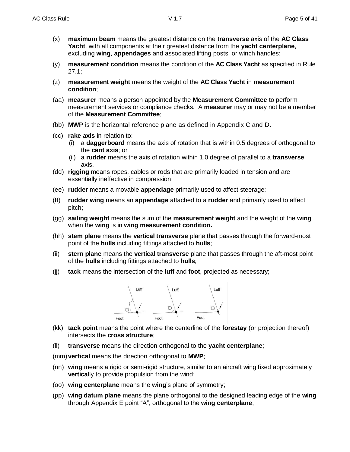- (x) **maximum beam** means the greatest distance on the **transverse** axis of the **AC Class Yacht**, with all components at their greatest distance from the **yacht centerplane**, excluding **wing**, **appendages** and associated lifting posts, or winch handles;
- (y) **measurement condition** means the condition of the **AC Class Yacht** as specified in Rule 27.1;
- (z) **measurement weight** means the weight of the **AC Class Yacht** in **measurement condition**;
- (aa) **measurer** means a person appointed by the **Measurement Committee** to perform measurement services or compliance checks. A **measurer** may or may not be a member of the **Measurement Committee**;
- (bb) **MWP** is the horizontal reference plane as defined in Appendix C and D.
- (cc) **rake axis** in relation to:
	- (i) a **daggerboard** means the axis of rotation that is within 0.5 degrees of orthogonal to the **cant axis**; or
	- (ii) a **rudder** means the axis of rotation within 1.0 degree of parallel to a **transverse** axis.
- (dd) **rigging** means ropes, cables or rods that are primarily loaded in tension and are essentially ineffective in compression;
- (ee) **rudder** means a movable **appendage** primarily used to affect steerage;
- (ff) **rudder wing** means an **appendage** attached to a **rudder** and primarily used to affect pitch;
- (gg) **sailing weight** means the sum of the **measurement weight** and the weight of the **wing** when the **wing** is in **wing measurement condition.**
- (hh) **stem plane** means the **vertical transverse** plane that passes through the forward-most point of the **hulls** including fittings attached to **hulls**;
- (ii) **stern plane** means the **vertical transverse** plane that passes through the aft-most point of the **hulls** including fittings attached to **hulls**;
- (jj) **tack** means the intersection of the **luff** and **foot**, projected as necessary;



- (kk) **tack point** means the point where the centerline of the **forestay** (or projection thereof) intersects the **cross structure**;
- (ll) **transverse** means the direction orthogonal to the **yacht centerplane**;
- (mm)**vertical** means the direction orthogonal to **MWP**;
- (nn) **wing** means a rigid or semi-rigid structure, similar to an aircraft wing fixed approximately **vertical**ly to provide propulsion from the wind;
- (oo) **wing centerplane** means the **wing**'s plane of symmetry;
- (pp) **wing datum plane** means the plane orthogonal to the designed leading edge of the **wing** through Appendix E point "A", orthogonal to the **wing centerplane**;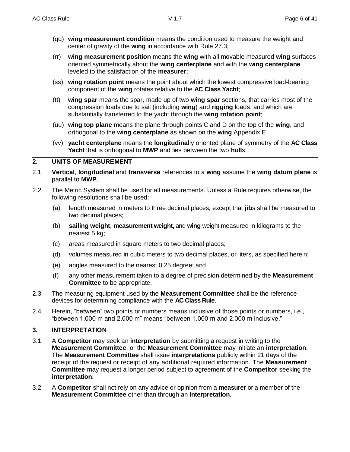- (qq) **wing measurement condition** means the condition used to measure the weight and center of gravity of the **wing** in accordance with Rule 27.3;
- (rr) **wing measurement position** means the **wing** with all movable measured **wing** surfaces oriented symmetrically about the **wing centerplane** and with the **wing centerplane** leveled to the satisfaction of the **measurer**;
- (ss) **wing rotation point** means the point about which the lowest compressive load-bearing component of the **wing** rotates relative to the **AC Class Yacht**;
- (tt) **wing spar** means the spar, made up of two **wing spar** sections, that carries most of the compression loads due to sail (including **wing**) and **rigging** loads, and which are substantially transferred to the yacht through the **wing rotation point**;
- (uu) **wing top plane** means the plane through points C and D on the top of the **wing**, and orthogonal to the **wing centerplane** as shown on the **wing** Appendix E
- (vv) **yacht centerplane** means the **longitudinal**ly oriented plane of symmetry of the **AC Class Yacht** that is orthogonal to **MWP** and lies between the two **hull**s.

#### **2. UNITS OF MEASUREMENT**

- 2.1 **Vertical**, **longitudinal** and **transverse** references to a **wing** assume the **wing datum plane** is parallel to **MWP**.
- 2.2 The Metric System shall be used for all measurements. Unless a Rule requires otherwise, the following resolutions shall be used:
	- (a) length measured in meters to three decimal places, except that **jib**s shall be measured to two decimal places;
	- (b) **sailing weight**, **measurement weight,** and **wing** weight measured in kilograms to the nearest 5 kg;
	- (c) areas measured in square meters to two decimal places;
	- (d) volumes measured in cubic meters to two decimal places, or liters, as specified herein;
	- (e) angles measured to the nearest 0.25 degree; and
	- (f) any other measurement taken to a degree of precision determined by the **Measurement Committee** to be appropriate.
- 2.3 The measuring equipment used by the **Measurement Committee** shall be the reference devices for determining compliance with the **AC Class Rule**.
- 2.4 Herein, "between" two points or numbers means inclusive of those points or numbers, i.e., "between 1.000 m and 2.000 m" means "between 1.000 m and 2.000 m inclusive."

## **3. INTERPRETATION**

- 3.1 A **Competitor** may seek an **interpretation** by submitting a request in writing to the **Measurement Committee**, or the **Measurement Committee** may initiate an **interpretation**. The **Measurement Committee** shall issue **interpretations** publicly within 21 days of the receipt of the request or receipt of any additional required information. The **Measurement Committee** may request a longer period subject to agreement of the **Competitor** seeking the **interpretation**.
- 3.2 A **Competitor** shall not rely on any advice or opinion from a **measurer** or a member of the **Measurement Committee** other than through an **interpretation.**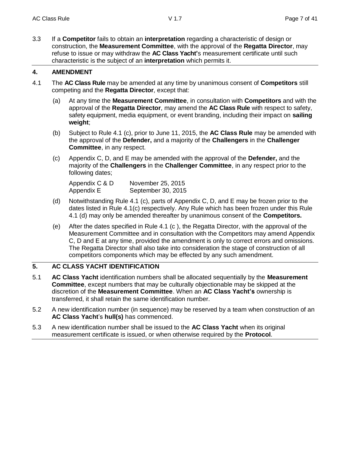3.3 If a **Competitor** fails to obtain an **interpretation** regarding a characteristic of design or construction, the **Measurement Committee**, with the approval of the **Regatta Director**, may refuse to issue or may withdraw the **AC Class Yacht'**s measurement certificate until such characteristic is the subject of an **interpretation** which permits it.

## **4. AMENDMENT**

- 4.1 The **AC Class Rule** may be amended at any time by unanimous consent of **Competitors** still competing and the **Regatta Director**, except that:
	- (a) At any time the **Measurement Committee**, in consultation with **Competitors** and with the approval of the **Regatta Director**, may amend the **AC Class Rule** with respect to safety, safety equipment, media equipment, or event branding, including their impact on **sailing weight**;
	- (b) Subject to Rule 4.1 (c), prior to June 11, 2015, the **AC Class Rule** may be amended with the approval of the **Defender,** and a majority of the **Challengers** in the **Challenger Committee**, in any respect.
	- (c) Appendix C, D, and E may be amended with the approval of the **Defender,** and the majority of the **Challengers** in the **Challenger Committee**, in any respect prior to the following dates;

| Appendix C & D | November 25, 2015  |
|----------------|--------------------|
| Appendix E     | September 30, 2015 |

- (d) Notwithstanding Rule 4.1 (c), parts of Appendix C, D, and E may be frozen prior to the dates listed in Rule 4.1(c) respectively. Any Rule which has been frozen under this Rule 4.1 (d) may only be amended thereafter by unanimous consent of the **Competitors.**
- (e) After the dates specified in Rule 4.1 (c ), the Regatta Director, with the approval of the Measurement Committee and in consultation with the Competitors may amend Appendix C, D and E at any time, provided the amendment is only to correct errors and omissions. The Regatta Director shall also take into consideration the stage of construction of all competitors components which may be effected by any such amendment.

## **5. AC CLASS YACHT IDENTIFICATION**

- 5.1 **AC Class Yacht** identification numbers shall be allocated sequentially by the **Measurement Committee**, except numbers that may be culturally objectionable may be skipped at the discretion of the **Measurement Committee**. When an **AC Class Yacht's** ownership is transferred, it shall retain the same identification number.
- 5.2 A new identification number (in sequence) may be reserved by a team when construction of an **AC Class Yacht**'s **hull(s)** has commenced.
- 5.3 A new identification number shall be issued to the **AC Class Yacht** when its original measurement certificate is issued, or when otherwise required by the **Protocol**.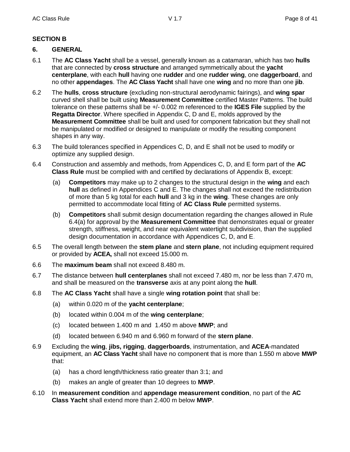## **SECTION B**

## **6. GENERAL**

- 6.1 The **AC Class Yacht** shall be a vessel, generally known as a catamaran, which has two **hulls** that are connected by **cross structure** and arranged symmetrically about the **yacht centerplane**, with each **hull** having one **rudder** and one **rudder wing**, one **daggerboard**, and no other **appendages**. The **AC Class Yacht** shall have one **wing** and no more than one **jib**.
- 6.2 The **hulls**, **cross structure** (excluding non-structural aerodynamic fairings), and **wing spar** curved shell shall be built using **Measurement Committee** certified Master Patterns. The build tolerance on these patterns shall be +/- 0.002 m referenced to the **IGES File** supplied by the **Regatta Director**. Where specified in Appendix C, D and E, molds approved by the **Measurement Committee** shall be built and used for component fabrication but they shall not be manipulated or modified or designed to manipulate or modify the resulting component shapes in any way.
- 6.3 The build tolerances specified in Appendices C, D, and E shall not be used to modify or optimize any supplied design.
- 6.4 Construction and assembly and methods, from Appendices C, D, and E form part of the **AC Class Rule** must be complied with and certified by declarations of Appendix B, except:
	- (a) **Competitors** may make up to 2 changes to the structural design in the **wing** and each **hull** as defined in Appendices C and E. The changes shall not exceed the redistribution of more than 5 kg total for each **hull** and 3 kg in the **wing**. These changes are only permitted to accommodate local fitting of **AC Class Rule** permitted systems.
	- (b) **Competitors** shall submit design documentation regarding the changes allowed in Rule 6.4(a) for approval by the **Measurement Committee** that demonstrates equal or greater strength, stiffness, weight, and near equivalent watertight subdivision, than the supplied design documentation in accordance with Appendices C, D, and E.
- 6.5 The overall length between the **stem plane** and **stern plane**, not including equipment required or provided by **ACEA,** shall not exceed 15.000 m.
- 6.6 The **maximum beam** shall not exceed 8.480 m.
- 6.7 The distance between **hull centerplanes** shall not exceed 7.480 m, nor be less than 7.470 m, and shall be measured on the **transverse** axis at any point along the **hull**.
- 6.8 The **AC Class Yacht** shall have a single **wing rotation point** that shall be:
	- (a) within 0.020 m of the **yacht centerplane**;
	- (b) located within 0.004 m of the **wing centerplane**;
	- (c) located between 1.400 m and 1.450 m above **MWP**; and
	- (d) located between 6.940 m and 6.960 m forward of the **stern plane**.
- 6.9 Excluding the **wing**, **jibs, rigging**, **daggerboards**, instrumentation, and **ACEA**-mandated equipment, an **AC Class Yacht** shall have no component that is more than 1.550 m above **MWP** that:
	- (a) has a chord length/thickness ratio greater than 3:1; and
	- (b) makes an angle of greater than 10 degrees to **MWP**.
- 6.10 In **measurement condition** and **appendage measurement condition**, no part of the **AC Class Yacht** shall extend more than 2.400 m below **MWP**.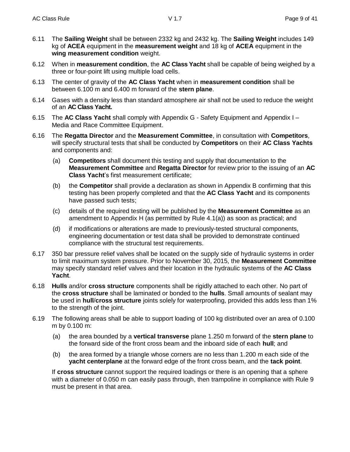- 6.11 The **Sailing Weight** shall be between 2332 kg and 2432 kg. The **Sailing Weight** includes 149 kg of **ACEA** equipment in the **measurement weight** and 18 kg of **ACEA** equipment in the **wing measurement condition** weight.
- 6.12 When in **measurement condition**, the **AC Class Yacht** shall be capable of being weighed by a three or four-point lift using multiple load cells.
- 6.13 The center of gravity of the **AC Class Yacht** when in **measurement condition** shall be between 6.100 m and 6.400 m forward of the **stern plane**.
- 6.14 Gases with a density less than standard atmosphere air shall not be used to reduce the weight of an **AC Class Yacht.**
- 6.15 The **AC Class Yacht** shall comply with Appendix G Safety Equipment and Appendix I Media and Race Committee Equipment.
- 6.16 The **Regatta Director** and the **Measurement Committee**, in consultation with **Competitors**, will specify structural tests that shall be conducted by **Competitors** on their **AC Class Yachts** and components and:
	- (a) **Competitors** shall document this testing and supply that documentation to the **Measurement Committee** and **Regatta Director** for review prior to the issuing of an **AC Class Yacht**'s first measurement certificate;
	- (b) the **Competitor** shall provide a declaration as shown in Appendix B confirming that this testing has been properly completed and that the **AC Class Yacht** and its components have passed such tests;
	- (c) details of the required testing will be published by the **Measurement Committee** as an amendment to Appendix H (as permitted by Rule 4.1(a)) as soon as practical; and
	- (d) if modifications or alterations are made to previously-tested structural components, engineering documentation or test data shall be provided to demonstrate continued compliance with the structural test requirements.
- 6.17 350 bar pressure relief valves shall be located on the supply side of hydraulic systems in order to limit maximum system pressure. Prior to November 30, 2015, the **Measurement Committee** may specify standard relief valves and their location in the hydraulic systems of the **AC Class Yacht**.
- 6.18 **Hulls** and/or **cross structure** components shall be rigidly attached to each other. No part of the **cross structure** shall be laminated or bonded to the **hulls**. Small amounts of sealant may be used in **hull**/**cross structure** joints solely for waterproofing, provided this adds less than 1% to the strength of the joint.
- 6.19 The following areas shall be able to support loading of 100 kg distributed over an area of 0.100 m by 0.100 m:
	- (a) the area bounded by a **vertical transverse** plane 1.250 m forward of the **stern plane** to the forward side of the front cross beam and the inboard side of each **hull**; and
	- (b) the area formed by a triangle whose corners are no less than 1.200 m each side of the **yacht centerplane** at the forward edge of the front cross beam, and the **tack point**.

If **cross structure** cannot support the required loadings or there is an opening that a sphere with a diameter of 0.050 m can easily pass through, then trampoline in compliance with Rule 9 must be present in that area.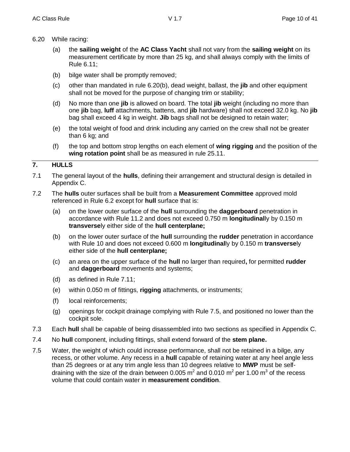- 6.20 While racing:
	- (a) the **sailing weight** of the **AC Class Yacht** shall not vary from the **sailing weight** on its measurement certificate by more than 25 kg, and shall always comply with the limits of Rule 6.11;
	- (b) bilge water shall be promptly removed;
	- (c) other than mandated in rule 6.20(b), dead weight, ballast, the **jib** and other equipment shall not be moved for the purpose of changing trim or stability;
	- (d) No more than one **jib** is allowed on board. The total **jib** weight (including no more than one **jib** bag, **luff** attachments, battens, and **jib** hardware) shall not exceed 32.0 kg. No **jib** bag shall exceed 4 kg in weight. **Jib** bags shall not be designed to retain water;
	- (e) the total weight of food and drink including any carried on the crew shall not be greater than 6 kg; and
	- (f) the top and bottom strop lengths on each element of **wing rigging** and the position of the **wing rotation point** shall be as measured in rule 25.11.

## **7. HULLS**

- 7.1 The general layout of the **hulls**, defining their arrangement and structural design is detailed in Appendix C.
- 7.2 The **hulls** outer surfaces shall be built from a **Measurement Committee** approved mold referenced in Rule 6.2 except for **hull** surface that is:
	- (a) on the lower outer surface of the **hull** surrounding the **daggerboard** penetration in accordance with Rule 11.2 and does not exceed 0.750 m **longitudinal**ly by 0.150 m **transverse**ly either side of the **hull centerplane;**
	- (b) on the lower outer surface of the **hull** surrounding the **rudder** penetration in accordance with Rule 10 and does not exceed 0.600 m **longitudinal**ly by 0.150 m **transverse**ly either side of the **hull centerplane;**
	- (c) an area on the upper surface of the **hull** no larger than required**,** for permitted **rudder** and **daggerboard** movements and systems;
	- (d) as defined in Rule 7.11;
	- (e) within 0.050 m of fittings, **rigging** attachments, or instruments;
	- (f) local reinforcements;
	- (g) openings for cockpit drainage complying with Rule 7.5, and positioned no lower than the cockpit sole.
- 7.3 Each **hull** shall be capable of being disassembled into two sections as specified in Appendix C.
- 7.4 No **hull** component, including fittings, shall extend forward of the **stem plane.**
- 7.5 Water, the weight of which could increase performance, shall not be retained in a bilge, any recess, or other volume. Any recess in a **hull** capable of retaining water at any heel angle less than 25 degrees or at any trim angle less than 10 degrees relative to **MWP** must be selfdraining with the size of the drain between 0.005 m<sup>2</sup> and 0.010 m<sup>2</sup> per 1.00 m<sup>3</sup> of the recess volume that could contain water in **measurement condition**.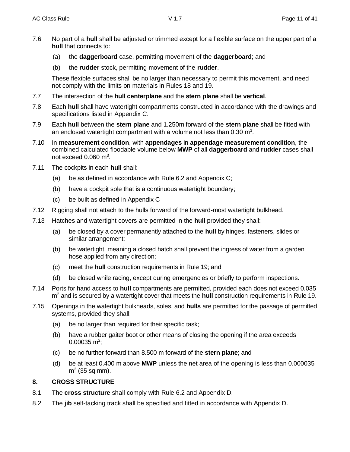- 7.6 No part of a **hull** shall be adjusted or trimmed except for a flexible surface on the upper part of a **hull** that connects to:
	- (a) the **daggerboard** case, permitting movement of the **daggerboard**; and
	- (b) the **rudder** stock, permitting movement of the **rudder**.

These flexible surfaces shall be no larger than necessary to permit this movement, and need not comply with the limits on materials in Rules 18 and 19.

- 7.7 The intersection of the **hull centerplane** and the **stern plane** shall be **vertical**.
- 7.8 Each **hull** shall have watertight compartments constructed in accordance with the drawings and specifications listed in Appendix C.
- 7.9 Each **hull** between the **stern plane** and 1.250m forward of the **stern plane** shall be fitted with an enclosed watertight compartment with a volume not less than 0.30  $m^3$ .
- 7.10 In **measurement condition**, with **appendages** in **appendage measurement condition**, the combined calculated floodable volume below **MWP** of all **daggerboard** and **rudder** cases shall not exceed  $0.060$  m<sup>3</sup>.
- 7.11 The cockpits in each **hull** shall:
	- (a) be as defined in accordance with Rule 6.2 and Appendix C;
	- (b) have a cockpit sole that is a continuous watertight boundary;
	- (c) be built as defined in Appendix C
- 7.12 Rigging shall not attach to the hulls forward of the forward-most watertight bulkhead.
- 7.13 Hatches and watertight covers are permitted in the **hull** provided they shall:
	- (a) be closed by a cover permanently attached to the **hull** by hinges, fasteners, slides or similar arrangement;
	- (b) be watertight, meaning a closed hatch shall prevent the ingress of water from a garden hose applied from any direction;
	- (c) meet the **hull** construction requirements in Rule 19; and
	- (d) be closed while racing, except during emergencies or briefly to perform inspections.
- 7.14 Ports for hand access to **hull** compartments are permitted, provided each does not exceed 0.035 m<sup>2</sup> and is secured by a watertight cover that meets the **hull** construction requirements in Rule 19.
- 7.15 Openings in the watertight bulkheads, soles, and **hulls** are permitted for the passage of permitted systems, provided they shall:
	- (a) be no larger than required for their specific task;
	- (b) have a rubber gaiter boot or other means of closing the opening if the area exceeds  $0.00035$  m<sup>2</sup>;
	- (c) be no further forward than 8.500 m forward of the **stern plane**; and
	- (d) be at least 0.400 m above **MWP** unless the net area of the opening is less than 0.000035  $m<sup>2</sup>$  (35 sq mm).

## **8. CROSS STRUCTURE**

- 8.1 The **cross structure** shall comply with Rule 6.2 and Appendix D.
- 8.2 The **jib** self-tacking track shall be specified and fitted in accordance with Appendix D.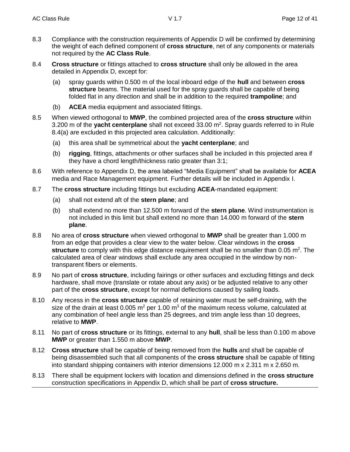- 8.3 Compliance with the construction requirements of Appendix D will be confirmed by determining the weight of each defined component of **cross structure**, net of any components or materials not required by the **AC Class Rule**.
- 8.4 **Cross structure** or fittings attached to **cross structure** shall only be allowed in the area detailed in Appendix D, except for:
	- (a) spray guards within 0.500 m of the local inboard edge of the **hull** and between **cross structure** beams. The material used for the spray guards shall be capable of being folded flat in any direction and shall be in addition to the required **trampoline**; and
	- (b) **ACEA** media equipment and associated fittings.
- 8.5 When viewed orthogonal to **MWP**, the combined projected area of the **cross structure** within 3.200 m of the yacht centerplane shall not exceed 33.00 m<sup>2</sup>. Spray guards referred to in Rule 8.4(a) are excluded in this projected area calculation. Additionally:
	- (a) this area shall be symmetrical about the **yacht centerplane**; and
	- (b) **rigging**, fittings, attachments or other surfaces shall be included in this projected area if they have a chord length/thickness ratio greater than 3:1;
- 8.6 With reference to Appendix D, the area labeled "Media Equipment" shall be available for **ACEA** media and Race Management equipment. Further details will be included in Appendix I.
- 8.7 The **cross structure** including fittings but excluding **ACEA**-mandated equipment:
	- (a) shall not extend aft of the **stern plane**; and
	- (b) shall extend no more than 12.500 m forward of the **stern plane**. Wind instrumentation is not included in this limit but shall extend no more than 14.000 m forward of the **stern plane**.
- 8.8 No area of **cross structure** when viewed orthogonal to **MWP** shall be greater than 1.000 m from an edge that provides a clear view to the water below. Clear windows in the **cross**  structure to comply with this edge distance requirement shall be no smaller than 0.05 m<sup>2</sup>. The calculated area of clear windows shall exclude any area occupied in the window by nontransparent fibers or elements.
- 8.9 No part of **cross structure**, including fairings or other surfaces and excluding fittings and deck hardware, shall move (translate or rotate about any axis) or be adjusted relative to any other part of the **cross structure**, except for normal deflections caused by sailing loads.
- 8.10 Any recess in the **cross structure** capable of retaining water must be self-draining, with the size of the drain at least 0.005  $m^2$  per 1.00  $m^3$  of the maximum recess volume, calculated at any combination of heel angle less than 25 degrees, and trim angle less than 10 degrees, relative to **MWP**.
- 8.11 No part of **cross structure** or its fittings, external to any **hull**, shall be less than 0.100 m above **MWP** or greater than 1.550 m above **MWP**.
- 8.12 **Cross structure** shall be capable of being removed from the **hulls** and shall be capable of being disassembled such that all components of the **cross structure** shall be capable of fitting into standard shipping containers with interior dimensions 12.000 m x 2.311 m x 2.650 m.
- 8.13 There shall be equipment lockers with location and dimensions defined in the **cross structure**  construction specifications in Appendix D, which shall be part of **cross structure.**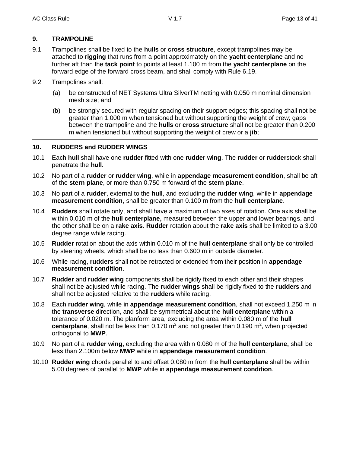## **9. TRAMPOLINE**

- 9.1 Trampolines shall be fixed to the **hulls** or **cross structure**, except trampolines may be attached to **rigging** that runs from a point approximately on the **yacht centerplane** and no further aft than the **tack point** to points at least 1.100 m from the **yacht centerplane** on the forward edge of the forward cross beam, and shall comply with Rule 6.19.
- 9.2 Trampolines shall:
	- (a) be constructed of NET Systems Ultra SilverTM netting with 0.050 m nominal dimension mesh size; and
	- (b) be strongly secured with regular spacing on their support edges; this spacing shall not be greater than 1.000 m when tensioned but without supporting the weight of crew; gaps between the trampoline and the **hulls** or **cross structure** shall not be greater than 0.200 m when tensioned but without supporting the weight of crew or a **jib**;

## **10. RUDDERS and RUDDER WINGS**

- 10.1 Each **hull** shall have one **rudder** fitted with one **rudder wing**. The **rudder** or **rudder**stock shall penetrate the **hull**.
- 10.2 No part of a **rudder** or **rudder wing**, while in **appendage measurement condition**, shall be aft of the **stern plane**, or more than 0.750 m forward of the **stern plane**.
- 10.3 No part of a **rudder**, external to the **hull**, and excluding the **rudder wing**, while in **appendage measurement condition**, shall be greater than 0.100 m from the **hull centerplane**.
- 10.4 **Rudders** shall rotate only, and shall have a maximum of two axes of rotation. One axis shall be within 0.010 m of the **hull centerplane,** measured between the upper and lower bearings, and the other shall be on a **rake axis**. **Rudder** rotation about the **rake axis** shall be limited to a 3.00 degree range while racing.
- 10.5 **Rudder** rotation about the axis within 0.010 m of the **hull centerplane** shall only be controlled by steering wheels, which shall be no less than 0.600 m in outside diameter.
- 10.6 While racing, **rudders** shall not be retracted or extended from their position in **appendage measurement condition**.
- 10.7 **Rudder** and **rudder wing** components shall be rigidly fixed to each other and their shapes shall not be adjusted while racing. The **rudder wings** shall be rigidly fixed to the **rudders** and shall not be adjusted relative to the **rudders** while racing.
- 10.8 Each **rudder wing**, while in **appendage measurement condition**, shall not exceed 1.250 m in the **transverse** direction, and shall be symmetrical about the **hull centerplane** within a tolerance of 0.020 m. The planform area, excluding the area within 0.080 m of the **hull**  centerplane, shall not be less than 0.170 m<sup>2</sup> and not greater than 0.190 m<sup>2</sup>, when projected orthogonal to **MWP**.
- 10.9 No part of a **rudder wing,** excluding the area within 0.080 m of the **hull centerplane,** shall be less than 2.100m below **MWP** while in **appendage measurement condition**.
- 10.10 **Rudder wing** chords parallel to and offset 0.080 m from the **hull centerplane** shall be within 5.00 degrees of parallel to **MWP** while in **appendage measurement condition**.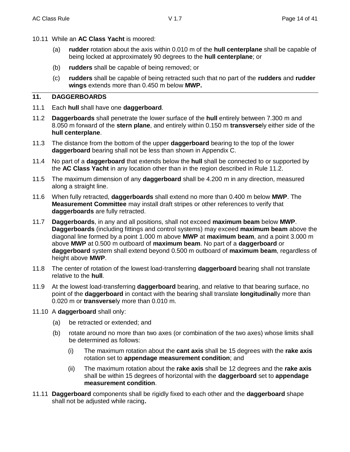- 10.11 While an **AC Class Yacht** is moored:
	- (a) **rudder** rotation about the axis within 0.010 m of the **hull centerplane** shall be capable of being locked at approximately 90 degrees to the **hull centerplane**; or
	- (b) **rudders** shall be capable of being removed; or
	- (c) **rudders** shall be capable of being retracted such that no part of the **rudders** and **rudder wings** extends more than 0.450 m below **MWP.**

## **11. DAGGERBOARDS**

- 11.1 Each **hull** shall have one **daggerboard**.
- 11.2 **Daggerboards** shall penetrate the lower surface of the **hull** entirely between 7.300 m and 8.050 m forward of the **stern plane**, and entirely within 0.150 m **transverse**ly either side of the **hull centerplane**.
- 11.3 The distance from the bottom of the upper **daggerboard** bearing to the top of the lower **daggerboard** bearing shall not be less than shown in Appendix C.
- 11.4 No part of a **daggerboard** that extends below the **hull** shall be connected to or supported by the **AC Class Yacht** in any location other than in the region described in Rule 11.2.
- 11.5 The maximum dimension of any **daggerboard** shall be 4.200 m in any direction, measured along a straight line.
- 11.6 When fully retracted, **daggerboards** shall extend no more than 0.400 m below **MWP**. The **Measurement Committee** may install draft stripes or other references to verify that **daggerboards** are fully retracted.
- 11.7 **Daggerboards**, in any and all positions, shall not exceed **maximum beam** below **MWP**. **Daggerboards** (including fittings and control systems) may exceed **maximum beam** above the diagonal line formed by a point 1.000 m above **MWP** at **maximum beam**, and a point 3.000 m above **MWP** at 0.500 m outboard of **maximum beam**. No part of a **daggerboard** or **daggerboard** system shall extend beyond 0.500 m outboard of **maximum beam**, regardless of height above **MWP**.
- 11.8 The center of rotation of the lowest load-transferring **daggerboard** bearing shall not translate relative to the **hull**.
- 11.9 At the lowest load-transferring **daggerboard** bearing, and relative to that bearing surface, no point of the **daggerboard** in contact with the bearing shall translate **longitudinal**ly more than 0.020 m or **transverse**ly more than 0.010 m.
- 11.10 A **daggerboard** shall only:
	- (a) be retracted or extended; and
	- (b) rotate around no more than two axes (or combination of the two axes) whose limits shall be determined as follows:
		- (i) The maximum rotation about the **cant axis** shall be 15 degrees with the **rake axis** rotation set to **appendage measurement condition**; and
		- (ii) The maximum rotation about the **rake axis** shall be 12 degrees and the **rake axis** shall be within 15 degrees of horizontal with the **daggerboard** set to **appendage measurement condition**.
- 11.11 **Daggerboard** components shall be rigidly fixed to each other and the **daggerboard** shape shall not be adjusted while racing**.**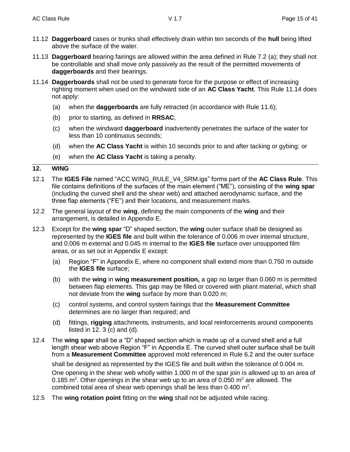- 11.12 **Daggerboard** cases or trunks shall effectively drain within ten seconds of the **hull** being lifted above the surface of the water.
- 11.13 **Daggerboard** bearing fairings are allowed within the area defined in Rule 7.2 (a); they shall not be controllable and shall move only passively as the result of the permitted movements of **daggerboards** and their bearings.
- 11.14 **Daggerboards** shall not be used to generate force for the purpose or effect of increasing righting moment when used on the windward side of an **AC Class Yacht**. This Rule 11.14 does not apply:
	- (a) when the **daggerboards** are fully retracted (in accordance with Rule 11.6);
	- (b) prior to starting, as defined in **RRSAC**;
	- (c) when the windward **daggerboard** inadvertently penetrates the surface of the water for less than 10 continuous seconds;
	- (d) when the **AC Class Yacht** is within 10 seconds prior to and after tacking or gybing; or
	- (e) when the **AC Class Yacht** is taking a penalty.

#### **12. WING**

- 12.1 The **IGES File** named "ACC WING\_RULE\_V4\_SRM.igs" forms part of the **AC Class Rule**. This file contains definitions of the surfaces of the main element ("ME"), consisting of the **wing spar**  (including the curved shell and the shear web) and attached aerodynamic surface, and the three flap elements ("FE") and their locations, and measurement marks.
- 12.2 The general layout of the **wing**, defining the main components of the **wing** and their arrangement, is detailed in Appendix E.
- 12.3 Except for the **wing spar** "D" shaped section, the **wing** outer surface shall be designed as represented by the **IGES file** and built within the tolerance of 0.006 m over internal structure, and 0.006 m external and 0.045 m internal to the **IGES file** surface over unsupported film areas, or as set out in Appendix E except:
	- (a) Region "F" in Appendix E, where no component shall extend more than 0.750 m outside the **IGES file** surface;
	- (b) with the **wing** in **wing measurement position,** a gap no larger than 0.060 m is permitted between flap elements. This gap may be filled or covered with pliant material, which shall not deviate from the **wing** surface by more than 0.020 m;
	- (c) control systems, and control system fairings that the **Measurement Committee** determines are no larger than required; and
	- (d) fittings, **rigging** attachments, instruments, and local reinforcements around components listed in  $12.3$  (c) and (d).
- 12.4 The **wing spar** shall be a "D" shaped section which is made up of a curved shell and a full length shear web above Region "F" in Appendix E. The curved shell outer surface shall be built from a **Measurement Committee** approved mold referenced in Rule 6.2 and the outer surface shall be designed as represented by the IGES file and built within the tolerance of 0.004 m. One opening in the shear web wholly within 1.000 m of the spar join is allowed up to an area of 0.185 m<sup>2</sup>. Other openings in the shear web up to an area of 0.050 m<sup>2</sup> are allowed. The combined total area of shear web openings shall be less than  $0.400 \text{ m}^2$ .
- 12.5 The **wing rotation point** fitting on the **wing** shall not be adjusted while racing.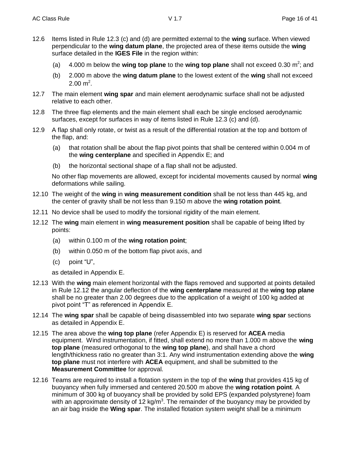- 12.6 Items listed in Rule 12.3 (c) and (d) are permitted external to the **wing** surface. When viewed perpendicular to the wing datum plane, the projected area of these items outside the **wing** surface detailed in the **IGES File** in the region within:
	- (a) 4.000 m below the **wing top plane** to the **wing top plane** shall not exceed 0.30 m<sup>2</sup>; and
	- (b) 2.000 m above the **wing datum plane** to the lowest extent of the **wing** shall not exceed  $2.00 \text{ m}^2$ .
- 12.7 The main element **wing spar** and main element aerodynamic surface shall not be adjusted relative to each other.
- 12.8 The three flap elements and the main element shall each be single enclosed aerodynamic surfaces, except for surfaces in way of items listed in Rule 12.3 (c) and (d).
- 12.9 A flap shall only rotate, or twist as a result of the differential rotation at the top and bottom of the flap, and:
	- (a) that rotation shall be about the flap pivot points that shall be centered within 0.004 m of the **wing centerplane** and specified in Appendix E; and
	- (b) the horizontal sectional shape of a flap shall not be adjusted.

No other flap movements are allowed, except for incidental movements caused by normal **wing** deformations while sailing.

- 12.10 The weight of the **wing** in **wing measurement condition** shall be not less than 445 kg, and the center of gravity shall be not less than 9.150 m above the **wing rotation point**.
- 12.11 No device shall be used to modify the torsional rigidity of the main element.
- 12.12 The **wing** main element in **wing measurement position** shall be capable of being lifted by points:
	- (a) within 0.100 m of the **wing rotation point**;
	- (b) within 0.050 m of the bottom flap pivot axis, and
	- (c) point "U",

as detailed in Appendix E.

- 12.13 With the **wing** main element horizontal with the flaps removed and supported at points detailed in Rule 12.12 the angular deflection of the **wing centerplane** measured at the **wing top plane** shall be no greater than 2.00 degrees due to the application of a weight of 100 kg added at pivot point "T" as referenced in Appendix E.
- 12.14 The **wing spar** shall be capable of being disassembled into two separate **wing spar** sections as detailed in Appendix E.
- 12.15 The area above the **wing top plane** (refer Appendix E) is reserved for **ACEA** media equipment. Wind instrumentation, if fitted, shall extend no more than 1.000 m above the **wing top plane** (measured orthogonal to the **wing top plane**), and shall have a chord length/thickness ratio no greater than 3:1. Any wind instrumentation extending above the **wing top plane** must not interfere with **ACEA** equipment, and shall be submitted to the **Measurement Committee** for approval.
- 12.16 Teams are required to install a flotation system in the top of the **wing** that provides 415 kg of buoyancy when fully immersed and centered 20.500 m above the **wing rotation point**. A minimum of 300 kg of buoyancy shall be provided by solid EPS (expanded polystyrene) foam with an approximate density of 12 kg/m<sup>3</sup>. The remainder of the buoyancy may be provided by an air bag inside the **Wing spar**. The installed flotation system weight shall be a minimum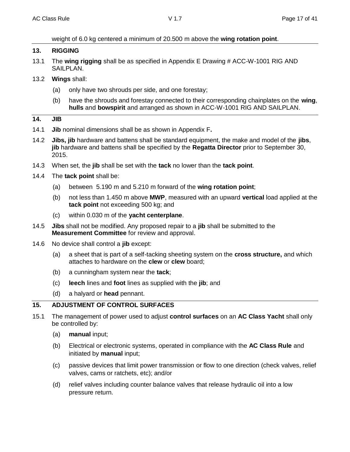#### weight of 6.0 kg centered a minimum of 20.500 m above the **wing rotation point**.

#### **13. RIGGING**

- 13.1 The **wing rigging** shall be as specified in Appendix E Drawing # ACC-W-1001 RIG AND SAILPLAN.
- 13.2 **Wings** shall:
	- (a) only have two shrouds per side, and one forestay;
	- (b) have the shrouds and forestay connected to their corresponding chainplates on the **wing**, **hulls** and **bowspirit** and arranged as shown in ACC-W-1001 RIG AND SAILPLAN.

#### **14. JIB**

- 14.1 **Jib** nominal dimensions shall be as shown in Appendix F**.**
- 14.2 **Jibs, jib** hardware and battens shall be standard equipment, the make and model of the **jibs**, **jib** hardware and battens shall be specified by the **Regatta Director** prior to September 30, 2015.
- 14.3 When set, the **jib** shall be set with the **tack** no lower than the **tack point**.
- 14.4 The **tack point** shall be:
	- (a) between 5.190 m and 5.210 m forward of the **wing rotation point**;
	- (b) not less than 1.450 m above **MWP**, measured with an upward **vertical** load applied at the **tack point** not exceeding 500 kg; and
	- (c) within 0.030 m of the **yacht centerplane**.
- 14.5 **Jibs** shall not be modified. Any proposed repair to a **jib** shall be submitted to the **Measurement Committee** for review and approval.
- 14.6 No device shall control a **jib** except:
	- (a) a sheet that is part of a self-tacking sheeting system on the **cross structure,** and which attaches to hardware on the **clew** or **clew** board;
	- (b) a cunningham system near the **tack**;
	- (c) **leech** lines and **foot** lines as supplied with the **jib**; and
	- (d) a halyard or **head** pennant.

## **15. ADJUSTMENT OF CONTROL SURFACES**

- 15.1 The management of power used to adjust **control surfaces** on an **AC Class Yacht** shall only be controlled by:
	- (a) **manual** input;
	- (b) Electrical or electronic systems, operated in compliance with the **AC Class Rule** and initiated by **manual** input;
	- (c) passive devices that limit power transmission or flow to one direction (check valves, relief valves, cams or ratchets, etc); and/or
	- (d) relief valves including counter balance valves that release hydraulic oil into a low pressure return.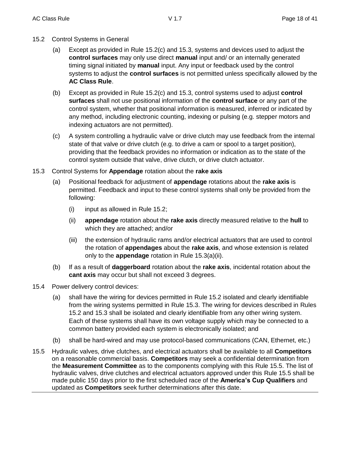- 15.2 Control Systems in General
	- (a) Except as provided in Rule 15.2(c) and 15.3, systems and devices used to adjust the **control surfaces** may only use direct **manual** input and/ or an internally generated timing signal initiated by **manual** input. Any input or feedback used by the control systems to adjust the **control surfaces** is not permitted unless specifically allowed by the **AC Class Rule**.
	- (b) Except as provided in Rule 15.2(c) and 15.3, control systems used to adjust **control surfaces** shall not use positional information of the **control surface** or any part of the control system, whether that positional information is measured, inferred or indicated by any method, including electronic counting, indexing or pulsing (e.g. stepper motors and indexing actuators are not permitted).
	- (c) A system controlling a hydraulic valve or drive clutch may use feedback from the internal state of that valve or drive clutch (e.g. to drive a cam or spool to a target position), providing that the feedback provides no information or indication as to the state of the control system outside that valve, drive clutch, or drive clutch actuator.
- 15.3 Control Systems for **Appendage** rotation about the **rake axis**
	- (a) Positional feedback for adjustment of **appendage** rotations about the **rake axis** is permitted. Feedback and input to these control systems shall only be provided from the following:
		- (i) input as allowed in Rule 15.2;
		- (ii) **appendage** rotation about the **rake axis** directly measured relative to the **hull** to which they are attached; and/or
		- (iii) the extension of hydraulic rams and/or electrical actuators that are used to control the rotation of **appendages** about the **rake axis**, and whose extension is related only to the **appendage** rotation in Rule 15.3(a)(ii).
	- (b) If as a result of **daggerboard** rotation about the **rake axis**, incidental rotation about the **cant axis** may occur but shall not exceed 3 degrees.
- 15.4 Power delivery control devices:
	- (a) shall have the wiring for devices permitted in Rule 15.2 isolated and clearly identifiable from the wiring systems permitted in Rule 15.3. The wiring for devices described in Rules 15.2 and 15.3 shall be isolated and clearly identifiable from any other wiring system. Each of these systems shall have its own voltage supply which may be connected to a common battery provided each system is electronically isolated; and
	- (b) shall be hard-wired and may use protocol-based communications (CAN, Ethernet, etc.)
- 15.5 Hydraulic valves, drive clutches, and electrical actuators shall be available to all **Competitors** on a reasonable commercial basis. **Competitors** may seek a confidential determination from the **Measurement Committee** as to the components complying with this Rule 15.5. The list of hydraulic valves, drive clutches and electrical actuators approved under this Rule 15.5 shall be made public 150 days prior to the first scheduled race of the **America's Cup Qualifiers** and updated as **Competitors** seek further determinations after this date.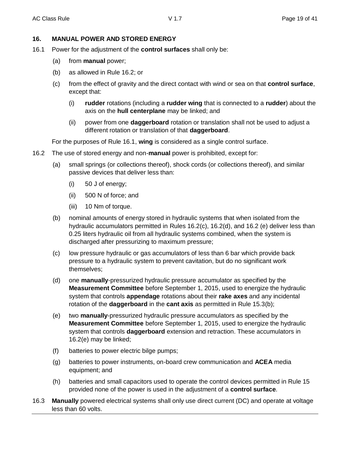## **16. MANUAL POWER AND STORED ENERGY**

- 16.1 Power for the adjustment of the **control surfaces** shall only be:
	- (a) from **manual** power;
	- (b) as allowed in Rule 16.2; or
	- (c) from the effect of gravity and the direct contact with wind or sea on that **control surface**, except that:
		- (i) **rudder** rotations (including a **rudder wing** that is connected to a **rudder**) about the axis on the **hull centerplane** may be linked; and
		- (ii) power from one **daggerboard** rotation or translation shall not be used to adjust a different rotation or translation of that **daggerboard**.

For the purposes of Rule 16.1, **wing** is considered as a single control surface.

- 16.2 The use of stored energy and non-**manual** power is prohibited, except for:
	- (a) small springs (or collections thereof), shock cords (or collections thereof), and similar passive devices that deliver less than:
		- (i) 50 J of energy;
		- (ii) 500 N of force; and
		- (iii) 10 Nm of torque.
	- (b) nominal amounts of energy stored in hydraulic systems that when isolated from the hydraulic accumulators permitted in Rules 16.2(c), 16.2(d), and 16.2 (e) deliver less than 0.25 liters hydraulic oil from all hydraulic systems combined, when the system is discharged after pressurizing to maximum pressure;
	- (c) low pressure hydraulic or gas accumulators of less than 6 bar which provide back pressure to a hydraulic system to prevent cavitation, but do no significant work themselves;
	- (d) one **manually**-pressurized hydraulic pressure accumulator as specified by the **Measurement Committee** before September 1, 2015, used to energize the hydraulic system that controls **appendage** rotations about their **rake axes** and any incidental rotation of the **daggerboard** in the **cant axis** as permitted in Rule 15.3(b);
	- (e) two **manually**-pressurized hydraulic pressure accumulators as specified by the **Measurement Committee** before September 1, 2015, used to energize the hydraulic system that controls **daggerboard** extension and retraction. These accumulators in 16.2(e) may be linked;
	- (f) batteries to power electric bilge pumps;
	- (g) batteries to power instruments, on-board crew communication and **ACEA** media equipment; and
	- (h) batteries and small capacitors used to operate the control devices permitted in Rule 15 provided none of the power is used in the adjustment of a **control surface**.
- 16.3 **Manually** powered electrical systems shall only use direct current (DC) and operate at voltage less than 60 volts.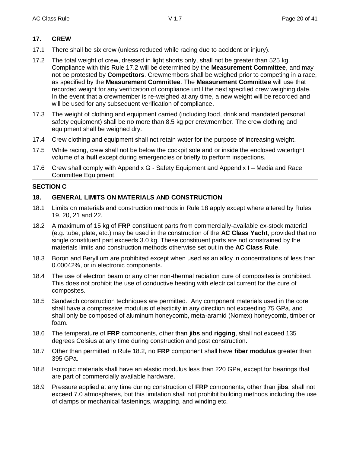## **17. CREW**

- 17.1 There shall be six crew (unless reduced while racing due to accident or injury).
- 17.2 The total weight of crew, dressed in light shorts only, shall not be greater than 525 kg. Compliance with this Rule 17.2 will be determined by the **Measurement Committee**, and may not be protested by **Competitors**. Crewmembers shall be weighed prior to competing in a race, as specified by the **Measurement Committee**. The **Measurement Committee** will use that recorded weight for any verification of compliance until the next specified crew weighing date. In the event that a crewmember is re-weighed at any time, a new weight will be recorded and will be used for any subsequent verification of compliance.
- 17.3 The weight of clothing and equipment carried (including food, drink and mandated personal safety equipment) shall be no more than 8.5 kg per crewmember. The crew clothing and equipment shall be weighed dry.
- 17.4 Crew clothing and equipment shall not retain water for the purpose of increasing weight.
- 17.5 While racing, crew shall not be below the cockpit sole and or inside the enclosed watertight volume of a **hull** except during emergencies or briefly to perform inspections.
- 17.6 Crew shall comply with Appendix G Safety Equipment and Appendix I Media and Race Committee Equipment.

#### **SECTION C**

## **18. GENERAL LIMITS ON MATERIALS AND CONSTRUCTION**

- 18.1 Limits on materials and construction methods in Rule 18 apply except where altered by Rules 19, 20, 21 and 22.
- 18.2 A maximum of 15 kg of **FRP** constituent parts from commercially-available ex-stock material (e.g. tube, plate, etc.) may be used in the construction of the **AC Class Yacht**, provided that no single constituent part exceeds 3.0 kg. These constituent parts are not constrained by the materials limits and construction methods otherwise set out in the **AC Class Rule**.
- 18.3 Boron and Beryllium are prohibited except when used as an alloy in concentrations of less than 0.00042%, or in electronic components.
- 18.4 The use of electron beam or any other non-thermal radiation cure of composites is prohibited. This does not prohibit the use of conductive heating with electrical current for the cure of composites.
- 18.5 Sandwich construction techniques are permitted. Any component materials used in the core shall have a compressive modulus of elasticity in any direction not exceeding 75 GPa, and shall only be composed of aluminum honeycomb, meta-aramid (Nomex) honeycomb, timber or foam.
- 18.6 The temperature of **FRP** components, other than **jibs** and **rigging**, shall not exceed 135 degrees Celsius at any time during construction and post construction.
- 18.7 Other than permitted in Rule 18.2, no **FRP** component shall have **fiber modulus** greater than 395 GPa.
- 18.8 Isotropic materials shall have an elastic modulus less than 220 GPa, except for bearings that are part of commercially available hardware.
- 18.9 Pressure applied at any time during construction of **FRP** components, other than **jibs**, shall not exceed 7.0 atmospheres, but this limitation shall not prohibit building methods including the use of clamps or mechanical fastenings, wrapping, and winding etc.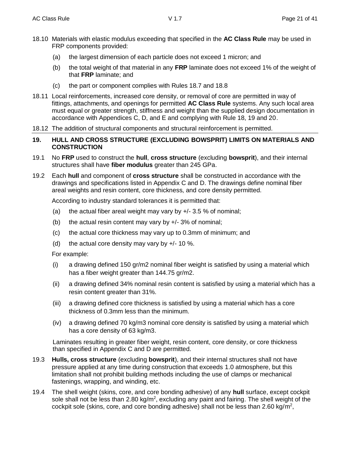- 18.10 Materials with elastic modulus exceeding that specified in the **AC Class Rule** may be used in FRP components provided:
	- (a) the largest dimension of each particle does not exceed 1 micron; and
	- (b) the total weight of that material in any **FRP** laminate does not exceed 1% of the weight of that **FRP** laminate; and
	- (c) the part or component complies with Rules 18.7 and 18.8
- 18.11 Local reinforcements, increased core density, or removal of core are permitted in way of fittings, attachments, and openings for permitted **AC Class Rule** systems. Any such local area must equal or greater strength, stiffness and weight than the supplied design documentation in accordance with Appendices C, D, and E and complying with Rule 18, 19 and 20.
- 18.12 The addition of structural components and structural reinforcement is permitted.
- **19. HULL AND CROSS STRUCTURE (EXCLUDING BOWSPRIT) LIMITS ON MATERIALS AND CONSTRUCTION**
- 19.1 No **FRP** used to construct the **hull**, **cross structure** (excluding **bowsprit**), and their internal structures shall have **fiber modulus** greater than 245 GPa.
- 19.2 Each **hull** and component of **cross structure** shall be constructed in accordance with the drawings and specifications listed in Appendix C and D. The drawings define nominal fiber areal weights and resin content, core thickness, and core density permitted.

According to industry standard tolerances it is permitted that:

- (a) the actual fiber areal weight may vary by  $+/- 3.5 \%$  of nominal;
- (b) the actual resin content may vary by  $+/- 3\%$  of nominal;
- (c) the actual core thickness may vary up to 0.3mm of minimum; and
- (d) the actual core density may vary by  $+/- 10$  %.

For example:

- (i) a drawing defined 150 gr/m2 nominal fiber weight is satisfied by using a material which has a fiber weight greater than 144.75 gr/m2.
- (ii) a drawing defined 34% nominal resin content is satisfied by using a material which has a resin content greater than 31%.
- (iii) a drawing defined core thickness is satisfied by using a material which has a core thickness of 0.3mm less than the minimum.
- (iv) a drawing defined 70 kg/m3 nominal core density is satisfied by using a material which has a core density of 63 kg/m3.

Laminates resulting in greater fiber weight, resin content, core density, or core thickness than specified in Appendix C and D are permitted.

- 19.3 **Hulls, cross structure** (excluding **bowsprit**), and their internal structures shall not have pressure applied at any time during construction that exceeds 1.0 atmosphere, but this limitation shall not prohibit building methods including the use of clamps or mechanical fastenings, wrapping, and winding, etc.
- 19.4 The shell weight (skins, core, and core bonding adhesive) of any **hull** surface, except cockpit sole shall not be less than 2.80 kg/m<sup>2</sup>, excluding any paint and fairing. The shell weight of the cockpit sole (skins, core, and core bonding adhesive) shall not be less than  $2.60 \text{ kg/m}^2$ ,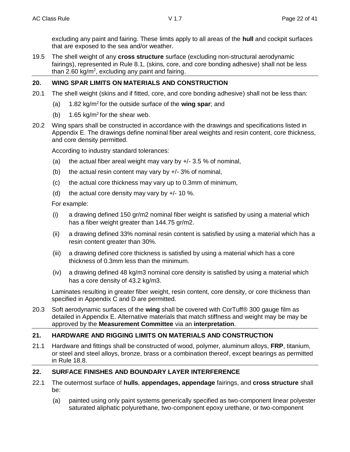excluding any paint and fairing. These limits apply to all areas of the **hull** and cockpit surfaces that are exposed to the sea and/or weather.

19.5 The shell weight of any **cross structure** surface (excluding non-structural aerodynamic fairings), represented in Rule 8.1, (skins, core, and core bonding adhesive) shall not be less than 2.60 kg/m<sup>2</sup>, excluding any paint and fairing.

## **20. WING SPAR LIMITS ON MATERIALS AND CONSTRUCTION**

- 20.1 The shell weight (skins and if fitted, core, and core bonding adhesive) shall not be less than:
	- (a) 1.82 kg/m<sup>2</sup> for the outside surface of the **wing spar**; and
	- (b)  $1.65 \text{ kg/m}^2$  for the shear web.
- 20.2 Wing spars shall be constructed in accordance with the drawings and specifications listed in Appendix E. The drawings define nominal fiber areal weights and resin content, core thickness, and core density permitted.

According to industry standard tolerances:

- (a) the actual fiber areal weight may vary by  $+/- 3.5 \%$  of nominal,
- (b) the actual resin content may vary by  $+/- 3\%$  of nominal,
- (c) the actual core thickness may vary up to 0.3mm of minimum,
- (d) the actual core density may vary by  $+/- 10$  %.

For example:

- (i) a drawing defined 150 gr/m2 nominal fiber weight is satisfied by using a material which has a fiber weight greater than 144.75 gr/m2.
- (ii) a drawing defined 33% nominal resin content is satisfied by using a material which has a resin content greater than 30%.
- (iii) a drawing defined core thickness is satisfied by using a material which has a core thickness of 0.3mm less than the minimum.
- (iv) a drawing defined 48 kg/m3 nominal core density is satisfied by using a material which has a core density of 43.2 kg/m3.

Laminates resulting in greater fiber weight, resin content, core density, or core thickness than specified in Appendix C and D are permitted.

20.3 Soft aerodynamic surfaces of the **wing** shall be covered with CorTuff® 300 gauge film as detailed in Appendix E. Alternative materials that match stiffness and weight may be may be approved by the **Measurement Committee** via an **interpretation**.

## **21. HARDWARE AND RIGGING LIMITS ON MATERIALS AND CONSTRUCTION**

21.1 Hardware and fittings shall be constructed of wood, polymer, aluminum alloys, **FRP**, titanium, or steel and steel alloys, bronze, brass or a combination thereof, except bearings as permitted in Rule 18.8.

## **22. SURFACE FINISHES AND BOUNDARY LAYER INTERFERENCE**

- 22.1 The outermost surface of **hulls**, **appendages, appendage** fairings, and **cross structure** shall be:
	- (a) painted using only paint systems generically specified as two-component linear polyester saturated aliphatic polyurethane, two-component epoxy urethane, or two-component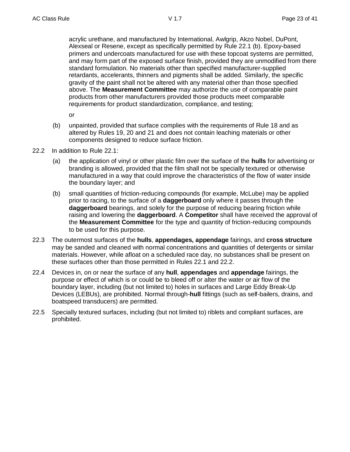acrylic urethane, and manufactured by International, Awlgrip, Akzo Nobel, DuPont, Alexseal or Resene, except as specifically permitted by Rule 22.1 (b). Epoxy-based primers and undercoats manufactured for use with these topcoat systems are permitted, and may form part of the exposed surface finish, provided they are unmodified from there standard formulation. No materials other than specified manufacturer-supplied retardants, accelerants, thinners and pigments shall be added. Similarly, the specific gravity of the paint shall not be altered with any material other than those specified above. The **Measurement Committee** may authorize the use of comparable paint products from other manufacturers provided those products meet comparable requirements for product standardization, compliance, and testing;

or

- (b) unpainted, provided that surface complies with the requirements of Rule 18 and as altered by Rules 19, 20 and 21 and does not contain leaching materials or other components designed to reduce surface friction.
- 22.2 In addition to Rule 22.1:
	- (a) the application of vinyl or other plastic film over the surface of the **hulls** for advertising or branding is allowed, provided that the film shall not be specially textured or otherwise manufactured in a way that could improve the characteristics of the flow of water inside the boundary layer; and
	- (b) small quantities of friction-reducing compounds (for example, McLube) may be applied prior to racing, to the surface of a **daggerboard** only where it passes through the **daggerboard** bearings, and solely for the purpose of reducing bearing friction while raising and lowering the **daggerboard**. A **Competitor** shall have received the approval of the **Measurement Committee** for the type and quantity of friction-reducing compounds to be used for this purpose.
- 22.3 The outermost surfaces of the **hulls**, **appendages, appendage** fairings, and **cross structure** may be sanded and cleaned with normal concentrations and quantities of detergents or similar materials. However, while afloat on a scheduled race day, no substances shall be present on these surfaces other than those permitted in Rules 22.1 and 22.2.
- 22.4 Devices in, on or near the surface of any **hull**, **appendages** and **appendage** fairings, the purpose or effect of which is or could be to bleed off or alter the water or air flow of the boundary layer, including (but not limited to) holes in surfaces and Large Eddy Break-Up Devices (LEBUs), are prohibited. Normal through-**hull** fittings (such as self-bailers, drains, and boatspeed transducers) are permitted.
- 22.5 Specially textured surfaces, including (but not limited to) riblets and compliant surfaces, are prohibited.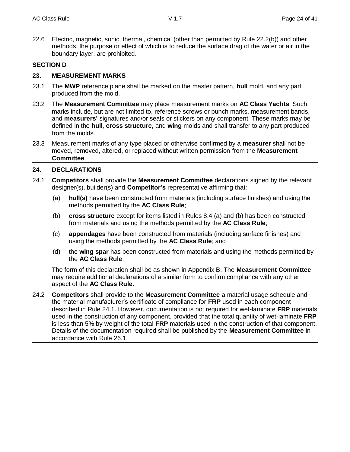22.6 Electric, magnetic, sonic, thermal, chemical (other than permitted by Rule 22.2(b)) and other methods, the purpose or effect of which is to reduce the surface drag of the water or air in the boundary layer, are prohibited.

#### **SECTION D**

#### **23. MEASUREMENT MARKS**

- 23.1 The **MWP** reference plane shall be marked on the master pattern, **hull** mold, and any part produced from the mold.
- 23.2 The **Measurement Committee** may place measurement marks on **AC Class Yachts**. Such marks include, but are not limited to, reference screws or punch marks, measurement bands, and **measurers'** signatures and/or seals or stickers on any component. These marks may be defined in the **hull**, **cross structure,** and **wing** molds and shall transfer to any part produced from the molds.
- 23.3 Measurement marks of any type placed or otherwise confirmed by a **measurer** shall not be moved, removed, altered, or replaced without written permission from the **Measurement Committee**.

#### **24. DECLARATIONS**

- 24.1 **Competitors** shall provide the **Measurement Committee** declarations signed by the relevant designer(s), builder(s) and **Competitor's** representative affirming that:
	- (a) **hull(s)** have been constructed from materials (including surface finishes) and using the methods permitted by the **AC Class Rule**;
	- (b) **cross structure** except for items listed in Rules 8.4 (a) and (b) has been constructed from materials and using the methods permitted by the **AC Class Rule**;
	- (c) **appendages** have been constructed from materials (including surface finishes) and using the methods permitted by the **AC Class Rule**; and
	- (d) the **wing spar** has been constructed from materials and using the methods permitted by the **AC Class Rule**.

The form of this declaration shall be as shown in Appendix B. The **Measurement Committee** may require additional declarations of a similar form to confirm compliance with any other aspect of the **AC Class Rule**.

24.2 **Competitors** shall provide to the **Measurement Committee** a material usage schedule and the material manufacturer's certificate of compliance for **FRP** used in each component described in Rule 24.1. However, documentation is not required for wet-laminate **FRP** materials used in the construction of any component, provided that the total quantity of wet-laminate **FRP** is less than 5% by weight of the total **FRP** materials used in the construction of that component. Details of the documentation required shall be published by the **Measurement Committee** in accordance with Rule 26.1.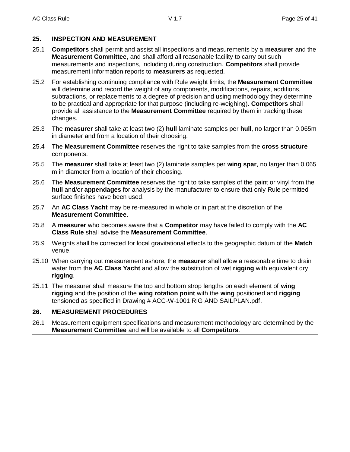## **25. INSPECTION AND MEASUREMENT**

- 25.1 **Competitors** shall permit and assist all inspections and measurements by a **measurer** and the **Measurement Committee**, and shall afford all reasonable facility to carry out such measurements and inspections, including during construction. **Competitors** shall provide measurement information reports to **measurers** as requested.
- 25.2 For establishing continuing compliance with Rule weight limits, the **Measurement Committee** will determine and record the weight of any components, modifications, repairs, additions, subtractions, or replacements to a degree of precision and using methodology they determine to be practical and appropriate for that purpose (including re-weighing). **Competitors** shall provide all assistance to the **Measurement Committee** required by them in tracking these changes.
- 25.3 The **measurer** shall take at least two (2) **hull** laminate samples per **hull**, no larger than 0.065m in diameter and from a location of their choosing.
- 25.4 The **Measurement Committee** reserves the right to take samples from the **cross structure** components.
- 25.5 The **measurer** shall take at least two (2) laminate samples per **wing spar**, no larger than 0.065 m in diameter from a location of their choosing.
- 25.6 The **Measurement Committee** reserves the right to take samples of the paint or vinyl from the **hull** and/or **appendages** for analysis by the manufacturer to ensure that only Rule permitted surface finishes have been used.
- 25.7 An **AC Class Yacht** may be re-measured in whole or in part at the discretion of the **Measurement Committee**.
- 25.8 A **measurer** who becomes aware that a **Competitor** may have failed to comply with the **AC Class Rule** shall advise the **Measurement Committee**.
- 25.9 Weights shall be corrected for local gravitational effects to the geographic datum of the **Match** venue.
- 25.10 When carrying out measurement ashore, the **measurer** shall allow a reasonable time to drain water from the **AC Class Yacht** and allow the substitution of wet **rigging** with equivalent dry **rigging**.
- 25.11 The measurer shall measure the top and bottom strop lengths on each element of **wing rigging** and the position of the **wing rotation point** with the **wing** positioned and **rigging** tensioned as specified in Drawing # ACC-W-1001 RIG AND SAILPLAN.pdf.

## **26. MEASUREMENT PROCEDURES**

26.1 Measurement equipment specifications and measurement methodology are determined by the **Measurement Committee** and will be available to all **Competitors**.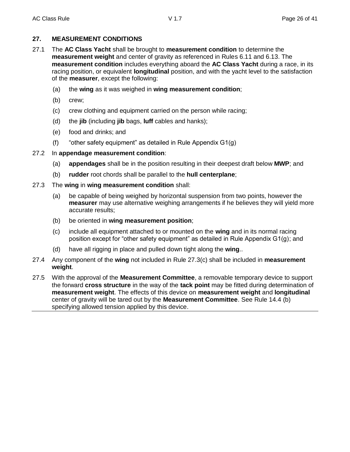## **27. MEASUREMENT CONDITIONS**

- 27.1 The **AC Class Yacht** shall be brought to **measurement condition** to determine the **measurement weight** and center of gravity as referenced in Rules 6.11 and 6.13. The **measurement condition** includes everything aboard the **AC Class Yacht** during a race, in its racing position, or equivalent **longitudinal** position, and with the yacht level to the satisfaction of the **measurer**, except the following:
	- (a) the **wing** as it was weighed in **wing measurement condition**;
	- (b) crew;
	- (c) crew clothing and equipment carried on the person while racing;
	- (d) the **jib** (including **jib** bags, **luff** cables and hanks);
	- (e) food and drinks; and
	- (f) "other safety equipment" as detailed in Rule Appendix G1(g)

## 27.2 In **appendage measurement condition**:

- (a) **appendages** shall be in the position resulting in their deepest draft below **MWP**; and
- (b) **rudder** root chords shall be parallel to the **hull centerplane**;
- 27.3 The **wing** in **wing measurement condition** shall:
	- (a) be capable of being weighed by horizontal suspension from two points, however the **measurer** may use alternative weighing arrangements if he believes they will yield more accurate results;
	- (b) be oriented in **wing measurement position**;
	- (c) include all equipment attached to or mounted on the **wing** and in its normal racing position except for "other safety equipment" as detailed in Rule Appendix G1(g); and
	- (d) have all rigging in place and pulled down tight along the **wing**..
- 27.4 Any component of the **wing** not included in Rule 27.3(c) shall be included in **measurement weight**.
- 27.5 With the approval of the **Measurement Committee**, a removable temporary device to support the forward **cross structure** in the way of the **tack point** may be fitted during determination of **measurement weight**. The effects of this device on **measurement weight** and **longitudinal** center of gravity will be tared out by the **Measurement Committee**. See Rule 14.4 (b) specifying allowed tension applied by this device.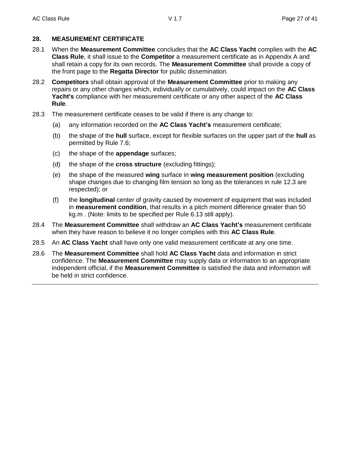## **28. MEASUREMENT CERTIFICATE**

- 28.1 When the **Measurement Committee** concludes that the **AC Class Yacht** complies with the **AC Class Rule**, it shall issue to the **Competitor** a measurement certificate as in Appendix A and shall retain a copy for its own records. The **Measurement Committee** shall provide a copy of the front page to the **Regatta Director** for public dissemination.
- 28.2 **Competitors** shall obtain approval of the **Measurement Committee** prior to making any repairs or any other changes which, individually or cumulatively, could impact on the **AC Class Yacht's** compliance with her measurement certificate or any other aspect of the **AC Class Rule**.
- 28.3 The measurement certificate ceases to be valid if there is any change to:
	- (a) any information recorded on the **AC Class Yacht's** measurement certificate;
	- (b) the shape of the **hull** surface, except for flexible surfaces on the upper part of the **hull** as permitted by Rule 7.6;
	- (c) the shape of the **appendage** surfaces;
	- (d) the shape of the **cross structure** (excluding fittings);
	- (e) the shape of the measured **wing** surface in **wing measurement position** (excluding shape changes due to changing film tension so long as the tolerances in rule 12.3 are respected); or
	- (f) the **longitudinal** center of gravity caused by movement of equipment that was included in **measurement condition**, that results in a pitch moment difference greater than 50 kg.m . (Note: limits to be specified per Rule 6.13 still apply).
- 28.4 The **Measurement Committee** shall withdraw an **AC Class Yacht's** measurement certificate when they have reason to believe it no longer complies with this **AC Class Rule**.
- 28.5 An **AC Class Yacht** shall have only one valid measurement certificate at any one time.
- 28.6 The **Measurement Committee** shall hold **AC Class Yacht** data and information in strict confidence. The **Measurement Committee** may supply data or information to an appropriate independent official, if the **Measurement Committee** is satisfied the data and information will be held in strict confidence.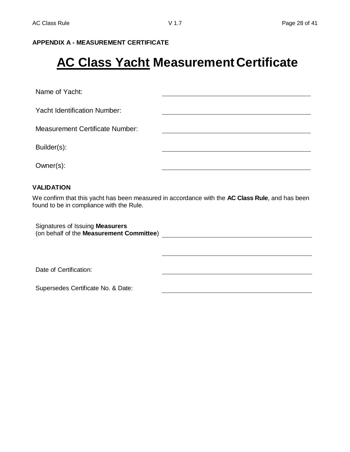## **APPENDIX A - MEASUREMENT CERTIFICATE**

# **AC Class Yacht Measurement Certificate**

Name of Yacht:

Yacht Identification Number:

Measurement Certificate Number:

Builder(s):

Owner(s):

## **VALIDATION**

We confirm that this yacht has been measured in accordance with the **AC Class Rule**, and has been found to be in compliance with the Rule.

<u> 1980 - Jan James Barnett, fransk politik (d. 1980)</u>

Signatures of Issuing **Measurers** (on behalf of the **Measurement Committee**)

Date of Certification:

Supersedes Certificate No. & Date: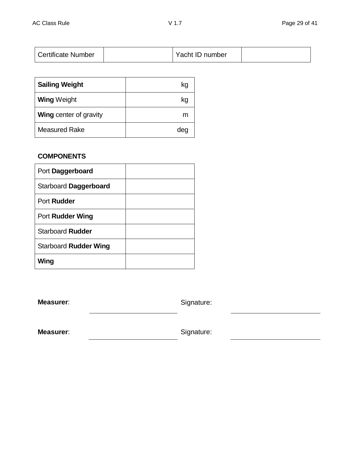| <b>Certificate Number</b> |  | Yacht ID number |  |
|---------------------------|--|-----------------|--|
|---------------------------|--|-----------------|--|

| <b>Sailing Weight</b>         | kg  |
|-------------------------------|-----|
| <b>Wing Weight</b>            | kg  |
| <b>Wing center of gravity</b> | m   |
| <b>Measured Rake</b>          | dec |

# **COMPONENTS**

| Port Daggerboard             |  |
|------------------------------|--|
| Starboard Daggerboard        |  |
| Port Rudder                  |  |
| <b>Port Rudder Wing</b>      |  |
| <b>Starboard Rudder</b>      |  |
| <b>Starboard Rudder Wing</b> |  |
| Wing                         |  |

**Measurer:** Signature:

**Measurer:** Signature: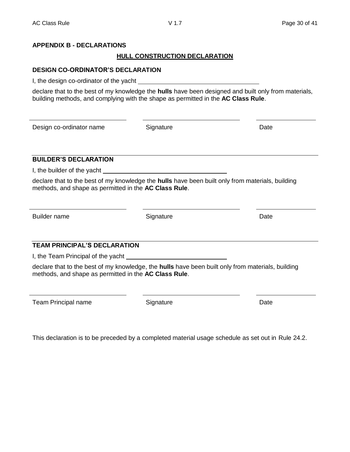## **APPENDIX B - DECLARATIONS**

## **HULL CONSTRUCTION DECLARATION**

## **DESIGN CO-ORDINATOR'S DECLARATION**

I, the design co-ordinator of the yacht

declare that to the best of my knowledge the **hulls** have been designed and built only from materials, building methods, and complying with the shape as permitted in the **AC Class Rule**.

Design co-ordinator name Signature Date

## **BUILDER'S DECLARATION**

I, the builder of the yacht

declare that to the best of my knowledge the **hulls** have been built only from materials, building methods, and shape as permitted in the **AC Class Rule**.

Builder name **Signature Signature Signature Signature Date** 

# **TEAM PRINCIPAL'S DECLARATION**

I, the Team Principal of the yacht

declare that to the best of my knowledge, the **hulls** have been built only from materials, building methods, and shape as permitted in the **AC Class Rule**.

Team Principal name **Signature** Signature **Date** Date

This declaration is to be preceded by a completed material usage schedule as set out in Rule 24.2.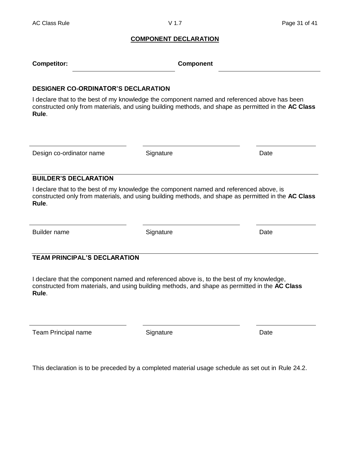#### **COMPONENT DECLARATION**

| <b>Competitor:</b> | <b>Component</b> |
|--------------------|------------------|
|--------------------|------------------|

#### **DESIGNER CO-ORDINATOR'S DECLARATION**

I declare that to the best of my knowledge the component named and referenced above has been constructed only from materials, and using building methods, and shape as permitted in the **AC Class Rule**.

Design co-ordinator name Signature **Signature** Design Co-ordinator name

#### **BUILDER'S DECLARATION**

I declare that to the best of my knowledge the component named and referenced above, is constructed only from materials, and using building methods, and shape as permitted in the **AC Class Rule**.

Builder name **Signature Contact Signature Contact Contact Contact Contact Contact Contact Contact Contact Contact Contact Contact Contact Contact Contact Contact Contact Contact Contact Contact Contact Contact Contact** 

## **TEAM PRINCIPAL'S DECLARATION**

I declare that the component named and referenced above is, to the best of my knowledge, constructed from materials, and using building methods, and shape as permitted in the **AC Class Rule**.

Team Principal name **Signature** Signature **Date** Date

This declaration is to be preceded by a completed material usage schedule as set out in Rule 24.2.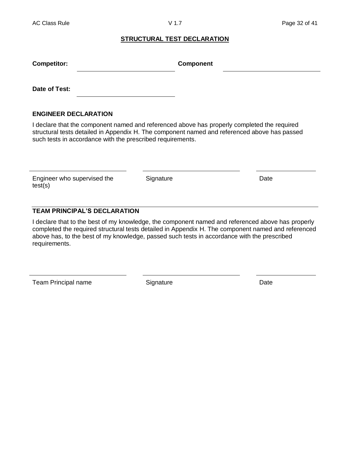#### **STRUCTURAL TEST DECLARATION**

| <b>Competitor:</b>                                         | <b>Component</b>                                                                                                                                                                            |
|------------------------------------------------------------|---------------------------------------------------------------------------------------------------------------------------------------------------------------------------------------------|
| Date of Test:                                              |                                                                                                                                                                                             |
| <b>ENGINEER DECLARATION</b>                                |                                                                                                                                                                                             |
| such tests in accordance with the prescribed requirements. | I declare that the component named and referenced above has properly completed the required<br>structural tests detailed in Appendix H. The component named and referenced above has passed |

Engineer who supervised the test(s)

Signature Date

# **TEAM PRINCIPAL'S DECLARATION**

I declare that to the best of my knowledge, the component named and referenced above has properly completed the required structural tests detailed in Appendix H. The component named and referenced above has, to the best of my knowledge, passed such tests in accordance with the prescribed requirements.

Team Principal name Signature Signature Date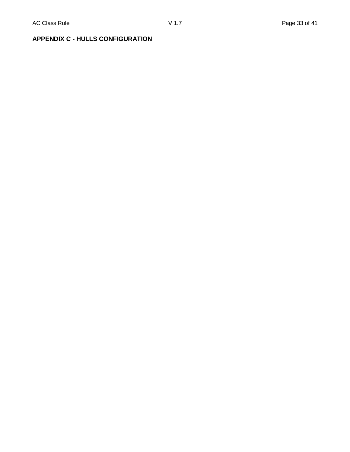# **APPENDIX C - HULLS CONFIGURATION**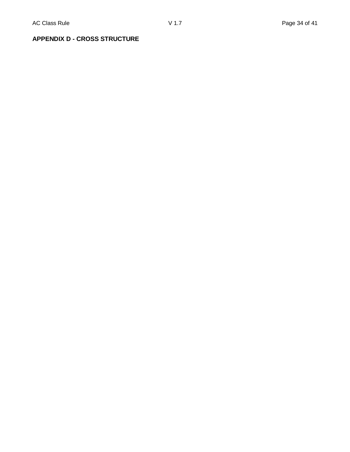# **APPENDIX D - CROSS STRUCTURE**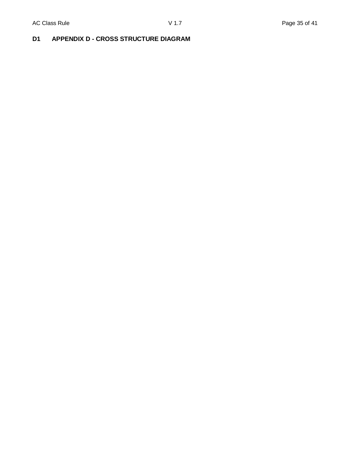# **D1 APPENDIX D - CROSS STRUCTURE DIAGRAM**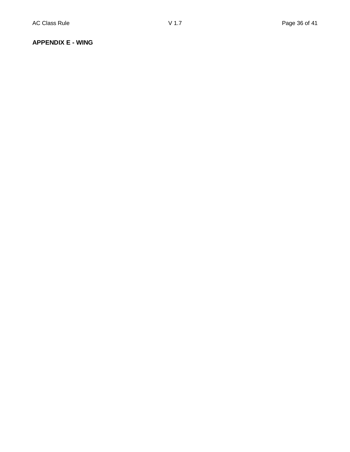## **APPENDIX E - WING**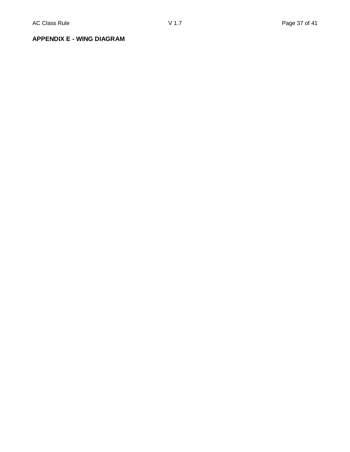**APPENDIX E - WING DIAGRAM**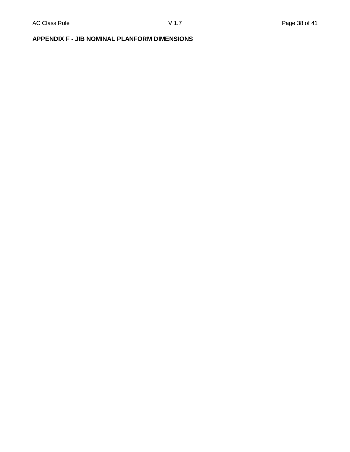# **APPENDIX F - JIB NOMINAL PLANFORM DIMENSIONS**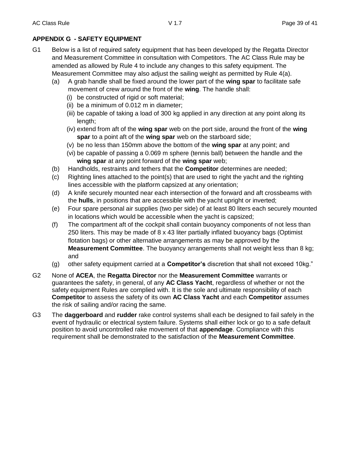## **APPENDIX G - SAFETY EQUIPMENT**

- G1 Below is a list of required safety equipment that has been developed by the Regatta Director and Measurement Committee in consultation with Competitors. The AC Class Rule may be amended as allowed by Rule 4 to include any changes to this safety equipment. The Measurement Committee may also adjust the sailing weight as permitted by Rule 4(a).
	- (a) A grab handle shall be fixed around the lower part of the **wing spar** to facilitate safe movement of crew around the front of the **wing**. The handle shall:
		- (i) be constructed of rigid or soft material;
		- (ii) be a minimum of 0.012 m in diameter;
		- (iii) be capable of taking a load of 300 kg applied in any direction at any point along its length;
		- (iv) extend from aft of the **wing spar** web on the port side, around the front of the **wing spar** to a point aft of the **wing spar** web on the starboard side;
		- (v) be no less than 150mm above the bottom of the **wing spar** at any point; and
		- (vi) be capable of passing a 0.069 m sphere (tennis ball) between the handle and the **wing spar** at any point forward of the **wing spar** web;
	- (b) Handholds, restraints and tethers that the **Competitor** determines are needed;
	- (c) Righting lines attached to the point(s) that are used to right the yacht and the righting lines accessible with the platform capsized at any orientation;
	- (d) A knife securely mounted near each intersection of the forward and aft crossbeams with the **hulls**, in positions that are accessible with the yacht upright or inverted;
	- (e) Four spare personal air supplies (two per side) of at least 80 liters each securely mounted in locations which would be accessible when the yacht is capsized;
	- (f) The compartment aft of the cockpit shall contain buoyancy components of not less than 250 liters. This may be made of 8 x 43 liter partially inflated buoyancy bags (Optimist flotation bags) or other alternative arrangements as may be approved by the **Measurement Committee**. The buoyancy arrangements shall not weight less than 8 kg; and
	- (g) other safety equipment carried at a **Competitor's** discretion that shall not exceed 10kg."
- G2 None of **ACEA**, the **Regatta Director** nor the **Measurement Committee** warrants or guarantees the safety, in general, of any **AC Class Yacht**, regardless of whether or not the safety equipment Rules are complied with. It is the sole and ultimate responsibility of each **Competitor** to assess the safety of its own **AC Class Yacht** and each **Competitor** assumes the risk of sailing and/or racing the same.
- G3 The **daggerboard** and **rudder** rake control systems shall each be designed to fail safely in the event of hydraulic or electrical system failure. Systems shall either lock or go to a safe default position to avoid uncontrolled rake movement of that **appendage**. Compliance with this requirement shall be demonstrated to the satisfaction of the **Measurement Committee**.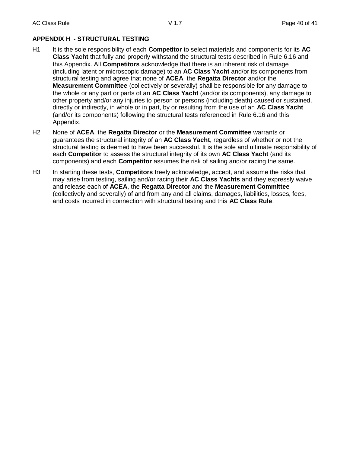## **APPENDIX H - STRUCTURAL TESTING**

- H1 It is the sole responsibility of each **Competitor** to select materials and components for its **AC Class Yacht** that fully and properly withstand the structural tests described in Rule 6.16 and this Appendix. All **Competitors** acknowledge that there is an inherent risk of damage (including latent or microscopic damage) to an **AC Class Yacht** and/or its components from structural testing and agree that none of **ACEA**, the **Regatta Director** and/or the **Measurement Committee** (collectively or severally) shall be responsible for any damage to the whole or any part or parts of an **AC Class Yacht** (and/or its components), any damage to other property and/or any injuries to person or persons (including death) caused or sustained, directly or indirectly, in whole or in part, by or resulting from the use of an **AC Class Yacht** (and/or its components) following the structural tests referenced in Rule 6.16 and this Appendix.
- H2 None of **ACEA**, the **Regatta Director** or the **Measurement Committee** warrants or guarantees the structural integrity of an **AC Class Yacht**, regardless of whether or not the structural testing is deemed to have been successful. It is the sole and ultimate responsibility of each **Competitor** to assess the structural integrity of its own **AC Class Yacht** (and its components) and each **Competitor** assumes the risk of sailing and/or racing the same.
- H3 In starting these tests, **Competitors** freely acknowledge, accept, and assume the risks that may arise from testing, sailing and/or racing their **AC Class Yachts** and they expressly waive and release each of **ACEA**, the **Regatta Director** and the **Measurement Committee** (collectively and severally) of and from any and all claims, damages, liabilities, losses, fees, and costs incurred in connection with structural testing and this **AC Class Rule**.